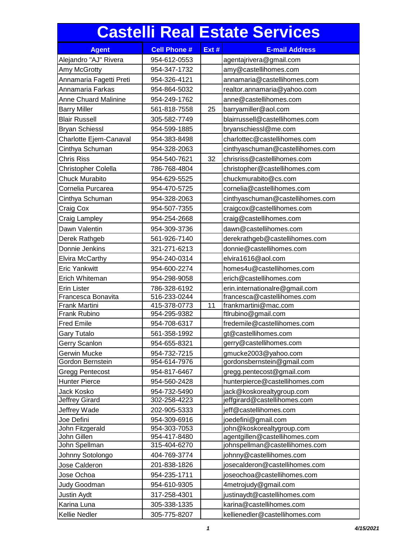## **Castelli Real Estate Services**

| <b>Agent</b>                | <b>Cell Phone #</b> | Ext # | <b>E-mail Address</b>            |
|-----------------------------|---------------------|-------|----------------------------------|
| Alejandro "AJ" Rivera       | 954-612-0553        |       | agentajrivera@gmail.com          |
| Amy McGrotty                | 954-347-1732        |       | amy@castellihomes.com            |
| Annamaria Fagetti Preti     | 954-326-4121        |       | annamaria@castellihomes.com      |
| Annamaria Farkas            | 954-864-5032        |       | realtor.annamaria@yahoo.com      |
| <b>Anne Chuard Malinine</b> | 954-249-1762        |       | anne@castellihomes.com           |
| <b>Barry Miller</b>         | 561-818-7558        | 25    |                                  |
|                             |                     |       | barryamiller@aol.com             |
| <b>Blair Russell</b>        | 305-582-7749        |       | blairrussell@castellihomes.com   |
| <b>Bryan Schiessl</b>       | 954-599-1885        |       | bryanschiessl@me.com             |
| Charlotte Ejem-Canaval      | 954-383-8498        |       | charlottec@castellihomes.com     |
| Cinthya Schuman             | 954-328-2063        |       | cinthyaschuman@castellihomes.com |
| <b>Chris Riss</b>           | 954-540-7621        | 32    | chrisriss@castellihomes.com      |
| <b>Christopher Colella</b>  | 786-768-4804        |       | christopher@castellihomes.com    |
| <b>Chuck Murabito</b>       | 954-629-5525        |       | chuckmurabito@cs.com             |
| Cornelia Purcarea           | 954-470-5725        |       | cornelia@castellihomes.com       |
| Cinthya Schuman             | 954-328-2063        |       | cinthyaschuman@castellihomes.com |
| Craig Cox                   | 954-507-7355        |       | craigcox@castellihomes.com       |
| Craig Lampley               | 954-254-2668        |       | craig@castellihomes.com          |
| Dawn Valentin               | 954-309-3736        |       | dawn@castellihomes.com           |
| Derek Rathgeb               | 561-926-7140        |       | derekrathgeb@castellihomes.com   |
| Donnie Jenkins              | 321-271-6213        |       | donnie@castellihomes.com         |
| <b>Elvira McCarthy</b>      | 954-240-0314        |       | elvira1616@aol.com               |
| <b>Eric Yankwitt</b>        | 954-600-2274        |       | homes4u@castellihomes.com        |
| Erich Whiteman              | 954-298-9058        |       | erich@castellihomes.com          |
| <b>Erin Lister</b>          | 786-328-6192        |       | erin.internationalre@gmail.com   |
| Francesca Bonavita          | 516-233-0244        |       | francesca@castellihomes.com      |
| Frank Martini               | 415-378-0773        | 11    | frankmartini@mac.com             |
| Frank Rubino                | 954-295-9382        |       | ftlrubino@gmail.com              |
| <b>Fred Emile</b>           | 954-708-6317        |       | fredemile@castellihomes.com      |
| <b>Gary Tutalo</b>          | 561-358-1992        |       | gt@castellihomes.com             |
| Gerry Scanlon               | 954-655-8321        |       | gerry@castellihomes.com          |
| Gerwin Mucke                | 954-732-7215        |       | gmucke2003@yahoo.com             |
| Gordon Bernstein            | 954-614-7976        |       | gordonsbernstein@gmail.com       |
| <b>Gregg Pentecost</b>      | 954-817-6467        |       | gregg.pentecost@gmail.com        |
| <b>Hunter Pierce</b>        | 954-560-2428        |       | hunterpierce@castellihomes.com   |
| Jack Kosko                  | 954-732-5490        |       | jack@koskorealtygroup.com        |
| Jeffrey Girard              | 302-258-4223        |       | jeffgirard@castellihomes.com     |
| Jeffrey Wade                | 202-905-5333        |       | jeff@castellihomes.com           |
| Joe Defini                  | 954-309-6916        |       | joedefini@gmail.com              |
| John Fitzgerald             | 954-303-7053        |       | john@koskorealtygroup.com        |
| John Gillen                 | 954-417-8480        |       | agentgillen@castellihomes.com    |
| John Spellman               | 315-404-6270        |       | johnspellman@castellihomes.com   |
| Johnny Sotolongo            | 404-769-3774        |       | johnny@castellihomes.com         |
| Jose Calderon               | 201-838-1826        |       | josecalderon@castellihomes.com   |
| Jose Ochoa                  | 954-235-1711        |       | joseochoa@castellihomes.com      |
| Judy Goodman                | 954-610-9305        |       | 4metrojudy@gmail.com             |
| Justin Aydt                 | 317-258-4301        |       | justinaydt@castellihomes.com     |
| Karina Luna                 | 305-338-1335        |       | karina@castellihomes.com         |
| Kellie Nedler               | 305-775-8207        |       | kellienedler@castellihomes.com   |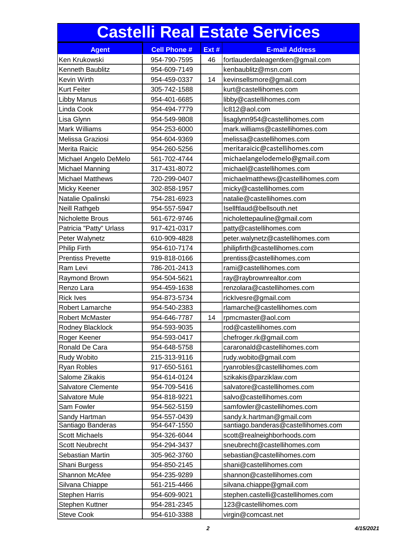## **Castelli Real Estate Services**

| <b>Agent</b>             | <b>Cell Phone #</b> | Ext # | <b>E-mail Address</b>               |
|--------------------------|---------------------|-------|-------------------------------------|
| Ken Krukowski            | 954-790-7595        | 46    | fortlauderdaleagentken@gmail.com    |
| Kenneth Baublitz         | 954-609-7149        |       | kenbaublitz@msn.com                 |
| Kevin Wirth              | 954-459-0337        | 14    | kevinsellsmore@gmail.com            |
| Kurt Feiter              | 305-742-1588        |       | kurt@castellihomes.com              |
| Libby Manus              | 954-401-6685        |       | libby@castellihomes.com             |
| Linda Cook               | 954-494-7779        |       | lc812@aol.com                       |
| Lisa Glynn               | 954-549-9808        |       | lisaglynn954@castellihomes.com      |
| <b>Mark Williams</b>     | 954-253-6000        |       | mark.williams@castellihomes.com     |
| Melissa Graziosi         | 954-604-9369        |       | melissa@castellihomes.com           |
| Merita Raicic            | 954-260-5256        |       | meritaraicic@castellihomes.com      |
| Michael Angelo DeMelo    | 561-702-4744        |       | michaelangelodemelo@gmail.com       |
| Michael Manning          | 317-431-8072        |       | michael@castellihomes.com           |
| <b>Michael Matthews</b>  | 720-299-0407        |       | michaelmatthews@castellihomes.com   |
| Micky Keener             | 302-858-1957        |       | micky@castellihomes.com             |
| Natalie Opalinski        | 754-281-6923        |       | natalie@castellihomes.com           |
| Neill Rathgeb            | 954-557-5947        |       | Isellftlaud@bellsouth.net           |
| Nicholette Brous         | 561-672-9746        |       | nicholettepauline@gmail.com         |
| Patricia "Patty" Urlass  | 917-421-0317        |       | patty@castellihomes.com             |
| Peter Walynetz           | 610-909-4828        |       | peter.walynetz@castellihomes.com    |
| <b>Philip Firth</b>      | 954-610-7174        |       | philipfirth@castellihomes.com       |
| <b>Prentiss Prevette</b> | 919-818-0166        |       | prentiss@castellihomes.com          |
| Ram Levi                 | 786-201-2413        |       | rami@castellihomes.com              |
| Raymond Brown            | 954-504-5621        |       | ray@raybrownrealtor.com             |
| Renzo Lara               | 954-459-1638        |       | renzolara@castellihomes.com         |
| <b>Rick Ives</b>         | 954-873-5734        |       | ricklvesre@gmail.com                |
| Robert Lamarche          | 954-540-2383        |       | rlamarche@castellihomes.com         |
| <b>Robert McMaster</b>   | 954-646-7787        | 14    | rpmcmaster@aol.com                  |
| Rodney Blacklock         | 954-593-9035        |       | rod@castellihomes.com               |
| Roger Keener             | 954-593-0417        |       | chefroger.rk@gmail.com              |
| Ronald De Cara           | 954-648-5758        |       | cararonald@castellihomes.com        |
| Rudy Wobito              | 215-313-9116        |       | rudy.wobito@gmail.com               |
| <b>Ryan Robles</b>       | 917-650-5161        |       | ryanrobles@castellihomes.com        |
| Salome Zikakis           | 954-614-0124        |       | szikakis@parziklaw.com              |
| Salvatore Clemente       | 954-709-5416        |       | salvatore@castellihomes.com         |
| Salvatore Mule           | 954-818-9221        |       | salvo@castellihomes.com             |
| Sam Fowler               | 954-562-5159        |       | samfowler@castellihomes.com         |
| Sandy Hartman            | 954-557-0439        |       | sandy.k.hartman@gmail.com           |
| Santiago Banderas        | 954-647-1550        |       | santiago.banderas@castellihomes.com |
| <b>Scott Michaels</b>    | 954-326-6044        |       | scott@realneighborhoods.com         |
| <b>Scott Neubrecht</b>   | 954-294-3437        |       | sneubrecht@castellihomes.com        |
| Sebastian Martin         | 305-962-3760        |       | sebastian@castellihomes.com         |
| Shani Burgess            | 954-850-2145        |       | shani@castellihomes.com             |
| Shannon McAfee           | 954-235-9289        |       | shannon@castellihomes.com           |
| Silvana Chiappe          | 561-215-4466        |       | silvana.chiappe@gmail.com           |
| <b>Stephen Harris</b>    | 954-609-9021        |       | stephen.castelli@castellihomes.com  |
| Stephen Kuttner          | 954-281-2345        |       | 123@castellihomes.com               |
| <b>Steve Cook</b>        | 954-610-3388        |       | virgin@comcast.net                  |